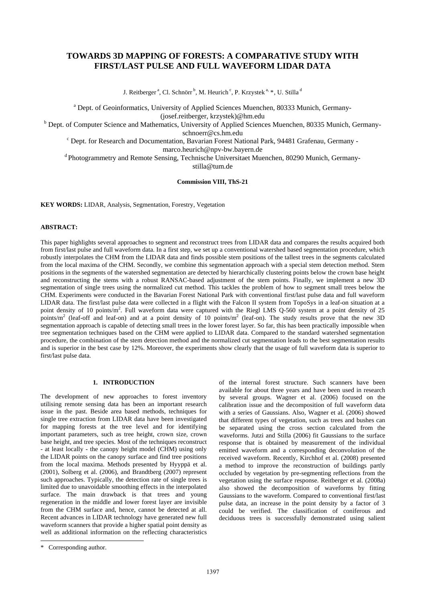# **TOWARDS 3D MAPPING OF FORESTS: A COMPARATIVE STUDY WITH FIRST/LAST PULSE AND FULL WAVEFORM LIDAR DATA**

J. Reitberger<sup>a</sup>, Cl. Schnörr<sup>b</sup>, M. Heurich<sup>c</sup>, P. Krzystek<sup>a, [\\*](#page-0-0)</sup>, U. Stilla<sup>d</sup>

<sup>a</sup> Dept. of Geoinformatics, University of Applied Sciences Muenchen, 80333 Munich, Germany-(josef.reitberger, krzystek)@hm.edu<br><sup>b</sup> Dept. of Computer Science and Mathematics, University of Applied Sciences Muenchen, 80335 Munich, Germany-

schnoerr@cs.hm.edu<br>C Dept. for Research and Documentation, Bavarian Forest National Park, 94481 Grafenau, Germany -

marco.heurich@npv-bw.bayern.de<br>d Photogrammetry and Remote Sensing, Technische Universitaet Muenchen, 80290 Munich, Germanystilla@tum.de

**Commission VIII, ThS-21** 

**KEY WORDS:** LIDAR, Analysis, Segmentation, Forestry, Vegetation

## **ABSTRACT:**

This paper highlights several approaches to segment and reconstruct trees from LIDAR data and compares the results acquired both from first/last pulse and full waveform data. In a first step, we set up a conventional watershed based segmentation procedure, which robustly interpolates the CHM from the LIDAR data and finds possible stem positions of the tallest trees in the segments calculated from the local maxima of the CHM. Secondly, we combine this segmentation approach with a special stem detection method. Stem positions in the segments of the watershed segmentation are detected by hierarchically clustering points below the crown base height and reconstructing the stems with a robust RANSAC-based adjustment of the stem points. Finally, we implement a new 3D segmentation of single trees using the normalized cut method. This tackles the problem of how to segment small trees below the CHM. Experiments were conducted in the Bavarian Forest National Park with conventional first/last pulse data and full waveform LIDAR data. The first/last pulse data were collected in a flight with the Falcon II system from TopoSys in a leaf-on situation at a point density of 10 points/m<sup>2</sup>. Full waveform data were captured with the Riegl LMS Q-560 system at a point density of 25 points/m<sup>2</sup> (leaf-off and leaf-on) and at a point density of 10 points/m<sup>2</sup> (leaf-on). The study results prove that the new 3D segmentation approach is capable of detecting small trees in the lower forest layer. So far, this has been practically impossible when tree segmentation techniques based on the CHM were applied to LIDAR data. Compared to the standard watershed segmentation procedure, the combination of the stem detection method and the normalized cut segmentation leads to the best segmentation results and is superior in the best case by 12%. Moreover, the experiments show clearly that the usage of full waveform data is superior to first/last pulse data.

# **1. INTRODUCTION**

The development of new approaches to forest inventory utilising remote sensing data has been an important research issue in the past. Beside area based methods, techniques for single tree extraction from LIDAR data have been investigated for mapping forests at the tree level and for identifying important parameters, such as tree height, crown size, crown base height, and tree species. Most of the techniques reconstruct - at least locally - the canopy height model (CHM) using only the LIDAR points on the canopy surface and find tree positions from the local maxima. Methods presented by Hyyppä et al. (2001), Solberg et al. (2006), and Brandtberg (2007) represent such approaches. Typically, the detection rate of single trees is limited due to unavoidable smoothing effects in the interpolated surface. The main drawback is that trees and young regeneration in the middle and lower forest layer are invisible from the CHM surface and, hence, cannot be detected at all. Recent advances in LIDAR technology have generated new full waveform scanners that provide a higher spatial point density as well as additional information on the reflecting characteristics

of the internal forest structure. Such scanners have been available for about three years and have been used in research by several groups. Wagner et al. (2006) focused on the calibration issue and the decomposition of full waveform data with a series of Gaussians. Also, Wagner et al. (2006) showed that different types of vegetation, such as trees and bushes can be separated using the cross section calculated from the waveforms. Jutzi and Stilla (2006) fit Gaussians to the surface response that is obtained by measurement of the individual emitted waveform and a corresponding deconvolution of the received waveform. Recently, Kirchhof et al. (2008) presented a method to improve the reconstruction of buildings partly occluded by vegetation by pre-segmenting reflections from the vegetation using the surface response. Reitberger et al. (2008a) also showed the decomposition of waveforms by fitting Gaussians to the waveform. Compared to conventional first/last pulse data, an increase in the point density by a factor of 3 could be verified. The classification of coniferous and deciduous trees is successfully demonstrated using salient

 $\overline{a}$ 

<span id="page-0-0"></span><sup>\*</sup> Corresponding author.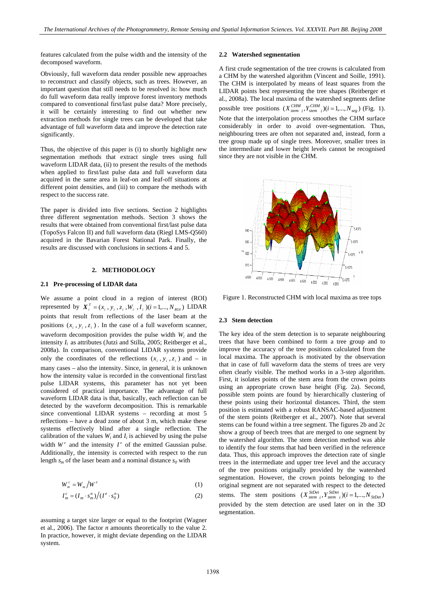features calculated from the pulse width and the intensity of the decomposed waveform.

Obviously, full waveform data render possible new approaches to reconstruct and classify objects, such as trees. However, an important question that still needs to be resolved is: how much do full waveform data really improve forest inventory methods compared to conventional first/last pulse data? More precisely, it will be certainly interesting to find out whether new extraction methods for single trees can be developed that take advantage of full waveform data and improve the detection rate significantly.

Thus, the objective of this paper is (i) to shortly highlight new segmentation methods that extract single trees using full waveform LIDAR data, (ii) to present the results of the methods when applied to first/last pulse data and full waveform data acquired in the same area in leaf-on and leaf-off situations at different point densities, and (iii) to compare the methods with respect to the success rate.

The paper is divided into five sections. Section 2 highlights three different segmentation methods. Section 3 shows the results that were obtained from conventional first/last pulse data (TopoSys Falcon II) and full waveform data (Riegl LMS-Q560) acquired in the Bavarian Forest National Park. Finally, the results are discussed with conclusions in sections 4 and 5.

## **2. METHODOLOGY**

#### **2.1 Pre-processing of LIDAR data**

We assume a point cloud in a region of interest (ROI) represented by  $X_i^T = (x_i, y_i, z_i, W_i, I_i)$  (*i* = 1,..., *N<sub>ROI</sub>*) LIDAR points that result from reflections of the laser beam at the positions  $(x_i, y_i, z_i)$ . In the case of a full waveform scanner, waveform decomposition provides the pulse width *Wi* and the intensity  $I_i$  as attributes (Jutzi and Stilla, 2005; Reitberger et al., 2008a). In comparison, conventional LIDAR systems provide only the coordinates of the reflections  $(x_i, y_i, z_i)$  and – in many cases – also the intensity. Since, in general, it is unknown how the intensity value is recorded in the conventional first/last pulse LIDAR systems, this parameter has not yet been considered of practical importance. The advantage of full waveform LIDAR data is that, basically, each reflection can be detected by the waveform decomposition. This is remarkable since conventional LIDAR systems – recording at most 5 reflections – have a dead zone of about 3 m, which make these systems effectively blind after a single reflection. The calibration of the values  $W_i$  and  $I_i$  is achieved by using the pulse width  $W^e$  and the intensity  $I^e$  of the emitted Gaussian pulse. Additionally, the intensity is corrected with respect to the run length  $s_m$  of the laser beam and a nominal distance  $s_0$  with

$$
W_{m}^{c} = W_{m}/W^{e}
$$
 (1)

$$
I_m^c = (I_m \cdot s_m^n) \big/ (I^e \cdot s_0^n) \tag{2}
$$

assuming a target size larger or equal to the footprint (Wagner et al., 2006). The factor *n* amounts theoretically to the value 2. In practice, however, it might deviate depending on the LIDAR system.

## **2.2 Watershed segmentation**

A first crude segmentation of the tree crowns is calculated from a CHM by the watershed algorithm (Vincent and Soille, 1991). The CHM is interpolated by means of least squares from the LIDAR points best representing the tree shapes (Reitberger et al., 2008a). The local maxima of the watershed segments define possible tree positions  $(X_{stem_i}^{CHM}, Y_{stem_i}^{CHM})$  (*i* = 1,...,  $N_{seg}$ ) (Fig. 1). Note that the interpolation process smoothes the CHM surface considerably in order to avoid over-segmentation. Thus, neighbouring trees are often not separated and, instead, form a tree group made up of single trees. Moreover, smaller trees in the intermediate and lower height levels cannot be recognised since they are not visible in the CHM.



Figure 1. Reconstructed CHM with local maxima as tree tops

#### **2.3 Stem detection**

The key idea of the stem detection is to separate neighbouring trees that have been combined to form a tree group and to improve the accuracy of the tree positions calculated from the local maxima. The approach is motivated by the observation that in case of full waveform data the stems of trees are very often clearly visible. The method works in a 3-step algorithm. First, it isolates points of the stem area from the crown points using an appropriate crown base height (Fig. 2a). Second, possible stem points are found by hierarchically clustering of these points using their horizontal distances. Third, the stem position is estimated with a robust RANSAC-based adjustment of the stem points (Reitberger et al., 2007). Note that several stems can be found within a tree segment. The figures 2b and 2c show a group of beech trees that are merged to one segment by the watershed algorithm. The stem detection method was able to identify the four stems that had been verified in the reference data. Thus, this approach improves the detection rate of single trees in the intermediate and upper tree level and the accuracy of the tree positions originally provided by the watershed segmentation. However, the crown points belonging to the original segment are not separated with respect to the detected stems. The stem positions  $(X^{SilDet}_{stem i}, Y^{SilDet}_{stem i}) (i = 1,...,N_{SilDet})$ provided by the stem detection are used later on in the 3D segmentation.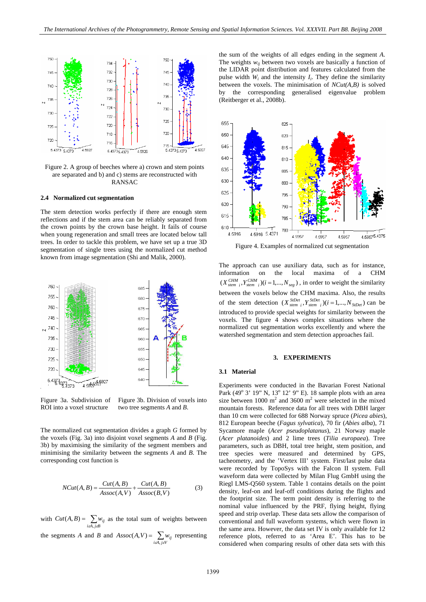

Figure 2. A group of beeches where a) crown and stem points are separated and b) and c) stems are reconstructed with RANSAC

#### **2.4 Normalized cut segmentation**

The stem detection works perfectly if there are enough stem reflections and if the stem area can be reliably separated from the crown points by the crown base height. It fails of course when young regeneration and small trees are located below tall trees. In order to tackle this problem, we have set up a true 3D segmentation of single trees using the normalized cut method known from image segmentation (Shi and Malik, 2000).



Figure 3a. Subdivision of ROI into a voxel structure

Figure 3b. Division of voxels into two tree segments *A* and *B*.

The normalized cut segmentation divides a graph *G* formed by the voxels (Fig. 3a) into disjoint voxel segments *A* and *B* (Fig. 3b) by maximising the similarity of the segment members and minimising the similarity between the segments *A* and *B*. The corresponding cost function is

$$
NCut(A, B) = \frac{Cut(A, B)}{Assoc(A, V)} + \frac{Cut(A, B)}{Assoc(B, V)}
$$
(3)

with  $Cut(A, B) = \sum_{i \in A, j \in B} w_{ij}$  as the total sum of weights between  $(A, B)$ 

the segments *A* and *B* and  $Assoc(A, V) = \sum_{i \in A, j \in V} w_{ij}$  representing  $(A, V)$ 

the sum of the weights of all edges ending in the segment *A*. The weights  $w_{ij}$  between two voxels are basically a function of the LIDAR point distribution and features calculated from the pulse width  $W_i$  and the intensity  $I_i$ . They define the similarity between the voxels. The minimisation of *NCut(A,B)* is solved by the corresponding generalised eigenvalue problem (Reitberger et al., 2008b).



Figure 4. Examples of normalized cut segmentation

The approach can use auxiliary data, such as for instance, information on the local maxima of a CHM  $(X_{\text{stem }i}^{CHM}, Y_{\text{stem }i}^{CHM})$  ( $i = 1,...,N_{\text{seg}}$ ), in order to weight the similarity between the voxels below the CHM maxima. Also, the results of the stem detection  $(X_{stem_i}^{StDet}, Y_{stem_i}^{StDet})$  (*i* = 1,...,  $N_{StDet}$ ) can be introduced to provide special weights for similarity between the voxels. The figure 4 shows complex situations where the normalized cut segmentation works excellently and where the watershed segmentation and stem detection approaches fail.

#### **3. EXPERIMENTS**

#### **3.1 Material**

Experiments were conducted in the Bavarian Forest National Park (49° 3' 19" N, 13° 12' 9" E). 18 sample plots with an area size between  $1000 \text{ m}^2$  and  $3600 \text{ m}^2$  were selected in the mixed mountain forests. Reference data for all trees with DBH larger than 10 cm were collected for 688 Norway spruce (*Picea abies*), 812 European beeche (*Fagus sylvatica*), 70 fir (*Abies alba*), 71 Sycamore maple (*Acer pseudoplatanus*), 21 Norway maple (*Acer platanoides*) and 2 lime trees (*Tilia europaea*). Tree parameters, such as DBH, total tree height, stem position, and tree species were measured and determined by GPS, tacheometry, and the 'Vertex III' system. First/last pulse data were recorded by TopoSys with the Falcon II system. Full waveform data were collected by Milan Flug GmbH using the Riegl LMS-Q560 system. Table 1 contains details on the point density, leaf-on and leaf-off conditions during the flights and the footprint size. The term point density is referring to the nominal value influenced by the PRF, flying height, flying speed and strip overlap. These data sets allow the comparison of conventional and full waveform systems, which were flown in the same area. However, the data set IV is only available for 12 reference plots, referred to as 'Area E'. This has to be considered when comparing results of other data sets with this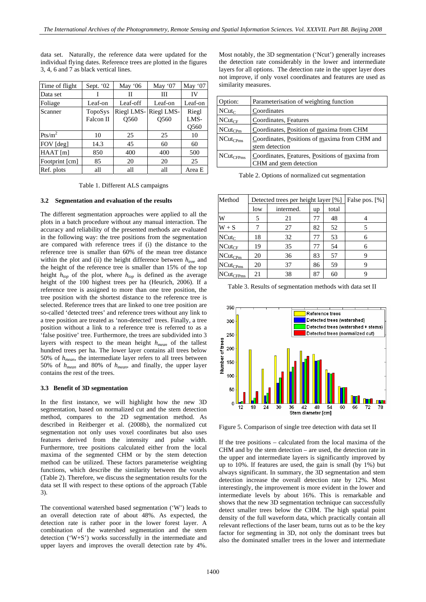data set. Naturally, the reference data were updated for the individual flying dates. Reference trees are plotted in the figures 3, 4, 6 and 7 as black vertical lines.

| Time of flight     | Sept. $02$           | May $06$                       | May '07                        | May '07                           |
|--------------------|----------------------|--------------------------------|--------------------------------|-----------------------------------|
| Data set           |                      | Н                              | Ш                              | IV                                |
| Foliage            | Leaf-on              | Leaf-off                       | Leaf-on                        | Leaf-on                           |
| Scanner            | TopoSys<br>Falcon II | Riegl LMS-<br>O <sub>560</sub> | Riegl LMS-<br>O <sub>560</sub> | Riegl<br>LMS-<br>O <sub>560</sub> |
| Pts/m <sup>2</sup> | 10                   | 25                             | 25                             | 10                                |
| FOV [deg]          | 14.3                 | 45                             | 60                             | 60                                |
| HAAT[m]            | 850                  | 400                            | 400                            | 500                               |
| Footprint [cm]     | 85                   | 20                             | 20                             | 25                                |
| Ref. plots         | all                  | all                            | all                            | Area E                            |

Table 1. Different ALS campaigns

## **3.2 Segmentation and evaluation of the results**

The different segmentation approaches were applied to all the plots in a batch procedure without any manual interaction. The accuracy and reliability of the presented methods are evaluated in the following way: the tree positions from the segmentation are compared with reference trees if (i) the distance to the reference tree is smaller than 60% of the mean tree distance within the plot and (ii) the height difference between  $h_{tree}$  and the height of the reference tree is smaller than 15% of the top height  $h_{top}$  of the plot, where  $h_{top}$  is defined as the average height of the 100 highest trees per ha (Heurich, 2006). If a reference tree is assigned to more than one tree position, the tree position with the shortest distance to the reference tree is selected. Reference trees that are linked to one tree position are so-called 'detected trees' and reference trees without any link to a tree position are treated as 'non-detected' trees. Finally, a tree position without a link to a reference tree is referred to as a 'false positive' tree. Furthermore, the trees are subdivided into 3 layers with respect to the mean height *hmean* of the tallest hundred trees per ha. The lower layer contains all trees below 50% of *hmean*, the intermediate layer refers to all trees between 50% of *hmean* and 80% of *hmean*, and finally, the upper layer contains the rest of the trees.

#### **3.3 Benefit of 3D segmentation**

In the first instance, we will highlight how the new 3D segmentation, based on normalized cut and the stem detection method, compares to the 2D segmentation method. As described in Reitberger et al. (2008b), the normalized cut segmentation not only uses voxel coordinates but also uses features derived from the intensity and pulse width. Furthermore, tree positions calculated either from the local maxima of the segmented CHM or by the stem detection method can be utilized. These factors parameterise weighting functions, which describe the similarity between the voxels (Table 2). Therefore, we discuss the segmentation results for the data set II with respect to these options of the approach (Table 3).

The conventional watershed based segmentation ('W') leads to an overall detection rate of about 48%. As expected, the detection rate is rather poor in the lower forest layer. A combination of the watershed segmentation and the stem detection ('W+S') works successfully in the intermediate and upper layers and improves the overall detection rate by 4%.

Most notably, the 3D segmentation ('Ncut') generally increases the detection rate considerably in the lower and intermediate layers for all options. The detection rate in the upper layer does not improve, if only voxel coordinates and features are used as similarity measures.

| Option:        | Parameterisation of weighting function                                    |
|----------------|---------------------------------------------------------------------------|
| $NCut_C$       | Coordinates                                                               |
| $NCut_{CF}$    | Coordinates, Features                                                     |
| $NCut_{CPm}$   | Coordinates, Position of maxima from CHM                                  |
| $NCut_{CPms}$  | Coordinates, Positions of maxima from CHM and<br>stem detection           |
| $NCut_{CFPms}$ | Coordinates, Features, Positions of maxima from<br>CHM and stem detection |

Table 2. Options of normalized cut segmentation

| Method         | Detected trees per height layer [%] |           |    |       | False pos. [%] |
|----------------|-------------------------------------|-----------|----|-------|----------------|
|                | low                                 | intermed. | up | total |                |
| W              | 5                                   | 21        | 77 | 48    |                |
| $W + S$        |                                     | 27        | 82 | 52    | 5              |
| $NCut_C$       | 18                                  | 32        | 77 | 53    | 6              |
| $NCut_{CF}$    | 19                                  | 35        | 77 | 54    | 6              |
| $NCut_{CPM}$   | 20                                  | 36        | 83 | 57    |                |
| $NCut_{CPms}$  | 20                                  | 37        | 86 | 59    | 9              |
| $NCut_{CFPms}$ | 21                                  | 38        | 87 | 60    | Q              |





Figure 5. Comparison of single tree detection with data set II

If the tree positions – calculated from the local maxima of the CHM and by the stem detection – are used, the detection rate in the upper and intermediate layers is significantly improved by up to 10%. If features are used, the gain is small (by 1%) but always significant. In summary, the 3D segmentation and stem detection increase the overall detection rate by 12%. Most interestingly, the improvement is more evident in the lower and intermediate levels by about 16%. This is remarkable and shows that the new 3D segmentation technique can successfully detect smaller trees below the CHM. The high spatial point density of the full waveform data, which practically contain all relevant reflections of the laser beam, turns out as to be the key factor for segmenting in 3D, not only the dominant trees but also the dominated smaller trees in the lower and intermediate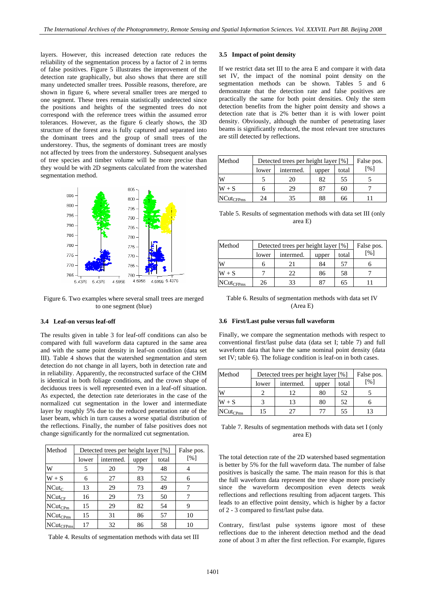layers. However, this increased detection rate reduces the reliability of the segmentation process by a factor of 2 in terms of false positives. Figure 5 illustrates the improvement of the detection rate graphically, but also shows that there are still many undetected smaller trees. Possible reasons, therefore, are shown in figure 6, where several smaller trees are merged to one segment. These trees remain statistically undetected since the positions and heights of the segmented trees do not correspond with the reference trees within the assumed error tolerances. However, as the figure 6 clearly shows, the 3D structure of the forest area is fully captured and separated into the dominant trees and the group of small trees of the understorey. Thus, the segments of dominant trees are mostly not affected by trees from the understorey. Subsequent analyses of tree species and timber volume will be more precise than they would be with 2D segments calculated from the watershed segmentation method.



Figure 6. Two examples where several small trees are merged to one segment (blue)

#### **3.4 Leaf-on versus leaf-off**

The results given in table 3 for leaf-off conditions can also be compared with full waveform data captured in the same area and with the same point density in leaf-on condition (data set III). Table 4 shows that the watershed segmentation and stem detection do not change in all layers, both in detection rate and in reliability. Apparently, the reconstructed surface of the CHM is identical in both foliage conditions, and the crown shape of deciduous trees is well represented even in a leaf-off situation. As expected, the detection rate deteriorates in the case of the normalized cut segmentation in the lower and intermediate layer by roughly 5% due to the reduced penetration rate of the laser beam, which in turn causes a worse spatial distribution of the reflections. Finally, the number of false positives does not change significantly for the normalized cut segmentation.

| Method         | Detected trees per height layer [%] | False pos. |       |       |                   |
|----------------|-------------------------------------|------------|-------|-------|-------------------|
|                | lower                               | intermed.  | upper | total | $\lceil\% \rceil$ |
| W              | 5                                   | 20         | 79    | 48    |                   |
| $W + S$        | 6                                   | 27         | 83    | 52    | 6                 |
| $NCut_C$       | 13                                  | 29         | 73    | 49    |                   |
| $NCut_{CF}$    | 16                                  | 29         | 73    | 50    |                   |
| $NCut_{CPm}$   | 15                                  | 29         | 82    | 54    | 9                 |
| $NCut_{CPms}$  | 15                                  | 31         | 86    | 57    | 10                |
| $NCut_{CFPms}$ | 17                                  | 32         | 86    | 58    | 10                |

Table 4. Results of segmentation methods with data set III

## **3.5 Impact of point density**

If we restrict data set III to the area E and compare it with data set IV, the impact of the nominal point density on the segmentation methods can be shown. Tables 5 and 6 demonstrate that the detection rate and false positives are practically the same for both point densities. Only the stem detection benefits from the higher point density and shows a detection rate that is 2% better than it is with lower point density. Obviously, although the number of penetrating laser beams is significantly reduced, the most relevant tree structures are still detected by reflections.

| Method         | Detected trees per height layer [%] |           |       |       | False pos.                  |
|----------------|-------------------------------------|-----------|-------|-------|-----------------------------|
|                | lower                               | intermed. | upper | total | $\lceil \frac{9}{0} \rceil$ |
| W              |                                     | 20        | 82    | 55    |                             |
| $W + S$        |                                     | 29        | 87    | 60    |                             |
| $NCut_{CFPms}$ | 24                                  | 35        | 88    | 66    |                             |

Table 5. Results of segmentation methods with data set III (only area E)

| Method         | Detected trees per height layer [%] |           |       |       | False pos.         |
|----------------|-------------------------------------|-----------|-------|-------|--------------------|
|                | lower                               | intermed. | upper | total | $\lceil \% \rceil$ |
| W              |                                     | 21        | 84    | 57    |                    |
| $W + S$        |                                     | 22        | 86    | 58    |                    |
| $NCut_{CFPms}$ | 26                                  | 33        | 87    | 65    |                    |

| Table 6. Results of segmentation methods with data set IV |
|-----------------------------------------------------------|
| (Area E)                                                  |

## **3.6 First/Last pulse versus full waveform**

Finally, we compare the segmentation methods with respect to conventional first/last pulse data (data set I; table 7) and full waveform data that have the same nominal point density (data set IV; table 6). The foliage condition is leaf-on in both cases.

| Method        | Detected trees per height layer [%] |           |       |       | False pos.                  |
|---------------|-------------------------------------|-----------|-------|-------|-----------------------------|
|               | lower                               | intermed. | upper | total | $\lceil \frac{9}{0} \rceil$ |
| W             |                                     | 12        | 80    | 52    |                             |
| $W + S$       |                                     |           | 80    | 52    |                             |
| $NCut_{CPms}$ | 15                                  |           | 77    | 55    |                             |

Table 7. Results of segmentation methods with data set I (only area E)

The total detection rate of the 2D watershed based segmentation is better by 5% for the full waveform data. The number of false positives is basically the same. The main reason for this is that the full waveform data represent the tree shape more precisely since the waveform decomposition even detects weak reflections and reflections resulting from adjacent targets. This leads to an effective point density, which is higher by a factor of 2 - 3 compared to first/last pulse data.

Contrary, first/last pulse systems ignore most of these reflections due to the inherent detection method and the dead zone of about 3 m after the first reflection. For example, figures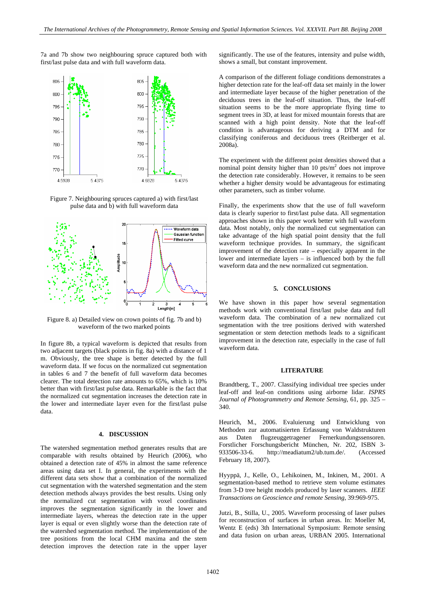7a and 7b show two neighbouring spruce captured both with first/last pulse data and with full waveform data.



Figure 7. Neighbouring spruces captured a) with first/last pulse data and b) with full waveform data



Figure 8. a) Detailed view on crown points of fig. 7b and b) waveform of the two marked points

In figure 8b, a typical waveform is depicted that results from two adjacent targets (black points in fig. 8a) with a distance of 1 m. Obviously, the tree shape is better detected by the full waveform data. If we focus on the normalized cut segmentation in tables 6 and 7 the benefit of full waveform data becomes clearer. The total detection rate amounts to 65%, which is 10% better than with first/last pulse data. Remarkable is the fact that the normalized cut segmentation increases the detection rate in the lower and intermediate layer even for the first/last pulse data.

# **4. DISCUSSION**

The watershed segmentation method generates results that are comparable with results obtained by Heurich (2006), who obtained a detection rate of 45% in almost the same reference areas using data set I. In general, the experiments with the different data sets show that a combination of the normalized cut segmentation with the watershed segmentation and the stem detection methods always provides the best results. Using only the normalized cut segmentation with voxel coordinates improves the segmentation significantly in the lower and intermediate layers, whereas the detection rate in the upper layer is equal or even slightly worse than the detection rate of the watershed segmentation method. The implementation of the tree positions from the local CHM maxima and the stem detection improves the detection rate in the upper layer significantly. The use of the features, intensity and pulse width, shows a small, but constant improvement.

A comparison of the different foliage conditions demonstrates a higher detection rate for the leaf-off data set mainly in the lower and intermediate layer because of the higher penetration of the deciduous trees in the leaf-off situation. Thus, the leaf-off situation seems to be the more appropriate flying time to segment trees in 3D, at least for mixed mountain forests that are scanned with a high point density. Note that the leaf-off condition is advantageous for deriving a DTM and for classifying coniferous and deciduous trees (Reitberger et al. 2008a).

The experiment with the different point densities showed that a nominal point density higher than  $10 \text{ pts/m}^2$  does not improve the detection rate considerably. However, it remains to be seen whether a higher density would be advantageous for estimating other parameters, such as timber volume.

Finally, the experiments show that the use of full waveform data is clearly superior to first/last pulse data. All segmentation approaches shown in this paper work better with full waveform data. Most notably, only the normalized cut segmentation can take advantage of the high spatial point density that the full waveform technique provides. In summary, the significant improvement of the detection rate – especially apparent in the lower and intermediate layers – is influenced both by the full waveform data and the new normalized cut segmentation.

## **5. CONCLUSIONS**

We have shown in this paper how several segmentation methods work with conventional first/last pulse data and full waveform data. The combination of a new normalized cut segmentation with the tree positions derived with watershed segmentation or stem detection methods leads to a significant improvement in the detection rate, especially in the case of full waveform data.

#### **LITERATURE**

Brandtberg, T., 2007. Classifying individual tree species under leaf-off and leaf-on conditions using airborne lidar. *ISPRS Journal of Photogrammetry and Remote Sensing*, 61, pp. 325 – 340.

Heurich, M., 2006. Evaluierung und Entwicklung von Methoden zur automatisierten Erfassung von Waldstrukturen aus Daten flugzeuggetragener Fernerkundungssensoren. Forstlicher Forschungsbericht München, Nr. 202, ISBN 3- 933506-33-6. [http://meadiatum2/ub.tum.de/.](http://meadiatum2/ub.tum.de/) (Accessed February 18, 2007).

Hyyppä, J., Kelle, O., Lehikoinen, M., Inkinen, M., 2001. A segmentation-based method to retrieve stem volume estimates from 3-D tree height models produced by laser scanners. *IEEE Transactions on Geoscience and remote Sensing,* 39:969-975.

Jutzi, B., Stilla, U., 2005. Waveform processing of laser pulses for reconstruction of surfaces in urban areas. In: Moeller M, Wentz E (eds) 3th International Symposium: Remote sensing and data fusion on urban areas, URBAN 2005. International